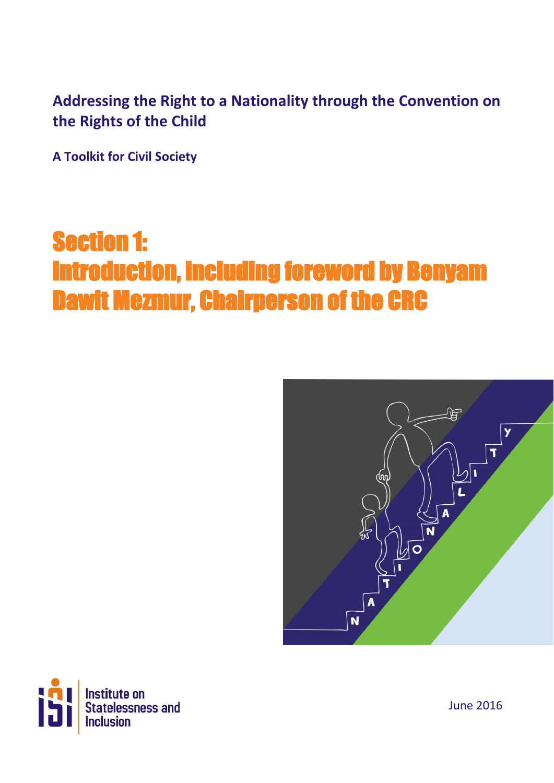### **Addressing the Right to a Nationality through the Convention on the Rights of the Child**

**A Toolkit for Civil Society**

## Section 1: Introduction, including foreword by Benyam Dawit Mezmur, Chairperson of the CRC





June 2016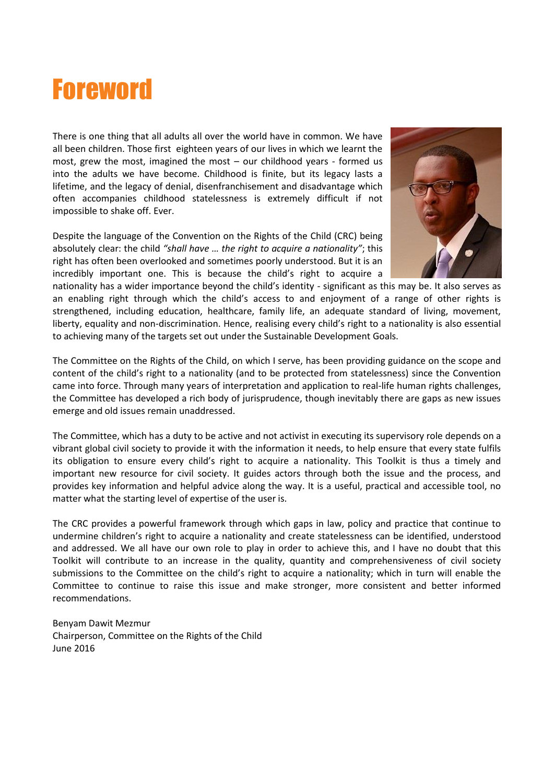

There is one thing that all adults all over the world have in common. We have all been children. Those first eighteen years of our lives in which we learnt the most, grew the most, imagined the most – our childhood years - formed us into the adults we have become. Childhood is finite, but its legacy lasts a lifetime, and the legacy of denial, disenfranchisement and disadvantage which often accompanies childhood statelessness is extremely difficult if not impossible to shake off. Ever.

Despite the language of the Convention on the Rights of the Child (CRC) being absolutely clear: the child *"shall have … the right to acquire a nationality"*; this right has often been overlooked and sometimes poorly understood. But it is an incredibly important one. This is because the child's right to acquire a



nationality has a wider importance beyond the child's identity - significant as this may be. It also serves as an enabling right through which the child's access to and enjoyment of a range of other rights is strengthened, including education, healthcare, family life, an adequate standard of living, movement, liberty, equality and non-discrimination. Hence, realising every child's right to a nationality is also essential to achieving many of the targets set out under the Sustainable Development Goals.

The Committee on the Rights of the Child, on which I serve, has been providing guidance on the scope and content of the child's right to a nationality (and to be protected from statelessness) since the Convention came into force. Through many years of interpretation and application to real-life human rights challenges, the Committee has developed a rich body of jurisprudence, though inevitably there are gaps as new issues emerge and old issues remain unaddressed.

The Committee, which has a duty to be active and not activist in executing its supervisory role depends on a vibrant global civil society to provide it with the information it needs, to help ensure that every state fulfils its obligation to ensure every child's right to acquire a nationality. This Toolkit is thus a timely and important new resource for civil society. It guides actors through both the issue and the process, and provides key information and helpful advice along the way. It is a useful, practical and accessible tool, no matter what the starting level of expertise of the user is.

The CRC provides a powerful framework through which gaps in law, policy and practice that continue to undermine children's right to acquire a nationality and create statelessness can be identified, understood and addressed. We all have our own role to play in order to achieve this, and I have no doubt that this Toolkit will contribute to an increase in the quality, quantity and comprehensiveness of civil society submissions to the Committee on the child's right to acquire a nationality; which in turn will enable the Committee to continue to raise this issue and make stronger, more consistent and better informed recommendations.

Benyam Dawit Mezmur Chairperson, Committee on the Rights of the Child June 2016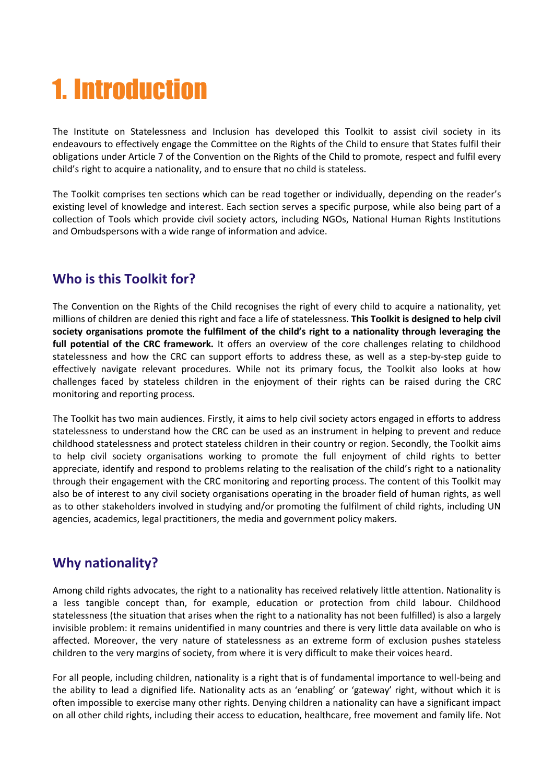# 1. Introduction

The Institute on Statelessness and Inclusion has developed this Toolkit to assist civil society in its endeavours to effectively engage the Committee on the Rights of the Child to ensure that States fulfil their obligations under Article 7 of the Convention on the Rights of the Child to promote, respect and fulfil every child's right to acquire a nationality, and to ensure that no child is stateless.

The Toolkit comprises ten sections which can be read together or individually, depending on the reader's existing level of knowledge and interest. Each section serves a specific purpose, while also being part of a collection of Tools which provide civil society actors, including NGOs, National Human Rights Institutions and Ombudspersons with a wide range of information and advice.

#### **Who is this Toolkit for?**

The Convention on the Rights of the Child recognises the right of every child to acquire a nationality, yet millions of children are denied this right and face a life of statelessness. **This Toolkit is designed to help civil society organisations promote the fulfilment of the child's right to a nationality through leveraging the full potential of the CRC framework.** It offers an overview of the core challenges relating to childhood statelessness and how the CRC can support efforts to address these, as well as a step-by-step guide to effectively navigate relevant procedures. While not its primary focus, the Toolkit also looks at how challenges faced by stateless children in the enjoyment of their rights can be raised during the CRC monitoring and reporting process.

The Toolkit has two main audiences. Firstly, it aims to help civil society actors engaged in efforts to address statelessness to understand how the CRC can be used as an instrument in helping to prevent and reduce childhood statelessness and protect stateless children in their country or region. Secondly, the Toolkit aims to help civil society organisations working to promote the full enjoyment of child rights to better appreciate, identify and respond to problems relating to the realisation of the child's right to a nationality through their engagement with the CRC monitoring and reporting process. The content of this Toolkit may also be of interest to any civil society organisations operating in the broader field of human rights, as well as to other stakeholders involved in studying and/or promoting the fulfilment of child rights, including UN agencies, academics, legal practitioners, the media and government policy makers.

#### **Why nationality?**

Among child rights advocates, the right to a nationality has received relatively little attention. Nationality is a less tangible concept than, for example, education or protection from child labour. Childhood statelessness (the situation that arises when the right to a nationality has not been fulfilled) is also a largely invisible problem: it remains unidentified in many countries and there is very little data available on who is affected. Moreover, the very nature of statelessness as an extreme form of exclusion pushes stateless children to the very margins of society, from where it is very difficult to make their voices heard.

For all people, including children, nationality is a right that is of fundamental importance to well-being and the ability to lead a dignified life. Nationality acts as an 'enabling' or 'gateway' right, without which it is often impossible to exercise many other rights. Denying children a nationality can have a significant impact on all other child rights, including their access to education, healthcare, free movement and family life. Not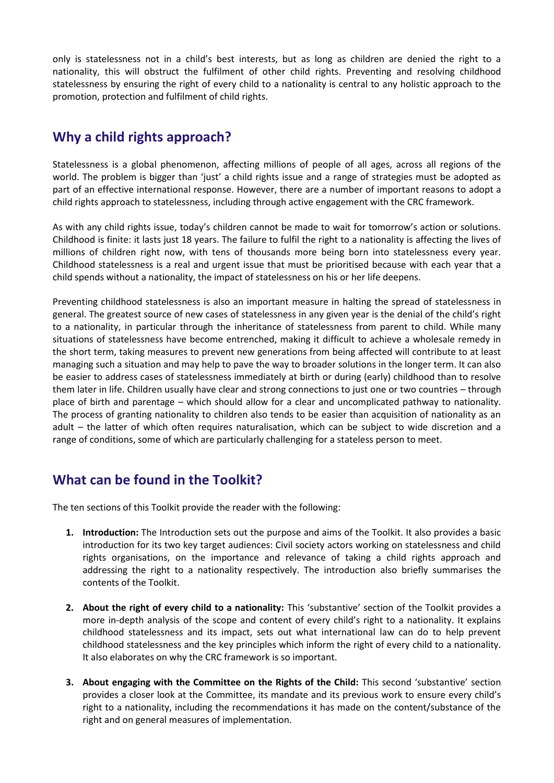only is statelessness not in a child's best interests, but as long as children are denied the right to a nationality, this will obstruct the fulfilment of other child rights. Preventing and resolving childhood statelessness by ensuring the right of every child to a nationality is central to any holistic approach to the promotion, protection and fulfilment of child rights.

#### **Why a child rights approach?**

Statelessness is a global phenomenon, affecting millions of people of all ages, across all regions of the world. The problem is bigger than 'just' a child rights issue and a range of strategies must be adopted as part of an effective international response. However, there are a number of important reasons to adopt a child rights approach to statelessness, including through active engagement with the CRC framework.

As with any child rights issue, today's children cannot be made to wait for tomorrow's action or solutions. Childhood is finite: it lasts just 18 years. The failure to fulfil the right to a nationality is affecting the lives of millions of children right now, with tens of thousands more being born into statelessness every year. Childhood statelessness is a real and urgent issue that must be prioritised because with each year that a child spends without a nationality, the impact of statelessness on his or her life deepens.

Preventing childhood statelessness is also an important measure in halting the spread of statelessness in general. The greatest source of new cases of statelessness in any given year is the denial of the child's right to a nationality, in particular through the inheritance of statelessness from parent to child. While many situations of statelessness have become entrenched, making it difficult to achieve a wholesale remedy in the short term, taking measures to prevent new generations from being affected will contribute to at least managing such a situation and may help to pave the way to broader solutions in the longer term. It can also be easier to address cases of statelessness immediately at birth or during (early) childhood than to resolve them later in life. Children usually have clear and strong connections to just one or two countries – through place of birth and parentage – which should allow for a clear and uncomplicated pathway to nationality. The process of granting nationality to children also tends to be easier than acquisition of nationality as an adult – the latter of which often requires naturalisation, which can be subject to wide discretion and a range of conditions, some of which are particularly challenging for a stateless person to meet.

#### **What can be found in the Toolkit?**

The ten sections of this Toolkit provide the reader with the following:

- **1. Introduction:** The Introduction sets out the purpose and aims of the Toolkit. It also provides a basic introduction for its two key target audiences: Civil society actors working on statelessness and child rights organisations, on the importance and relevance of taking a child rights approach and addressing the right to a nationality respectively. The introduction also briefly summarises the contents of the Toolkit.
- **2. About the right of every child to a nationality:** This 'substantive' section of the Toolkit provides a more in-depth analysis of the scope and content of every child's right to a nationality. It explains childhood statelessness and its impact, sets out what international law can do to help prevent childhood statelessness and the key principles which inform the right of every child to a nationality. It also elaborates on why the CRC framework is so important.
- **3. About engaging with the Committee on the Rights of the Child:** This second 'substantive' section provides a closer look at the Committee, its mandate and its previous work to ensure every child's right to a nationality, including the recommendations it has made on the content/substance of the right and on general measures of implementation.